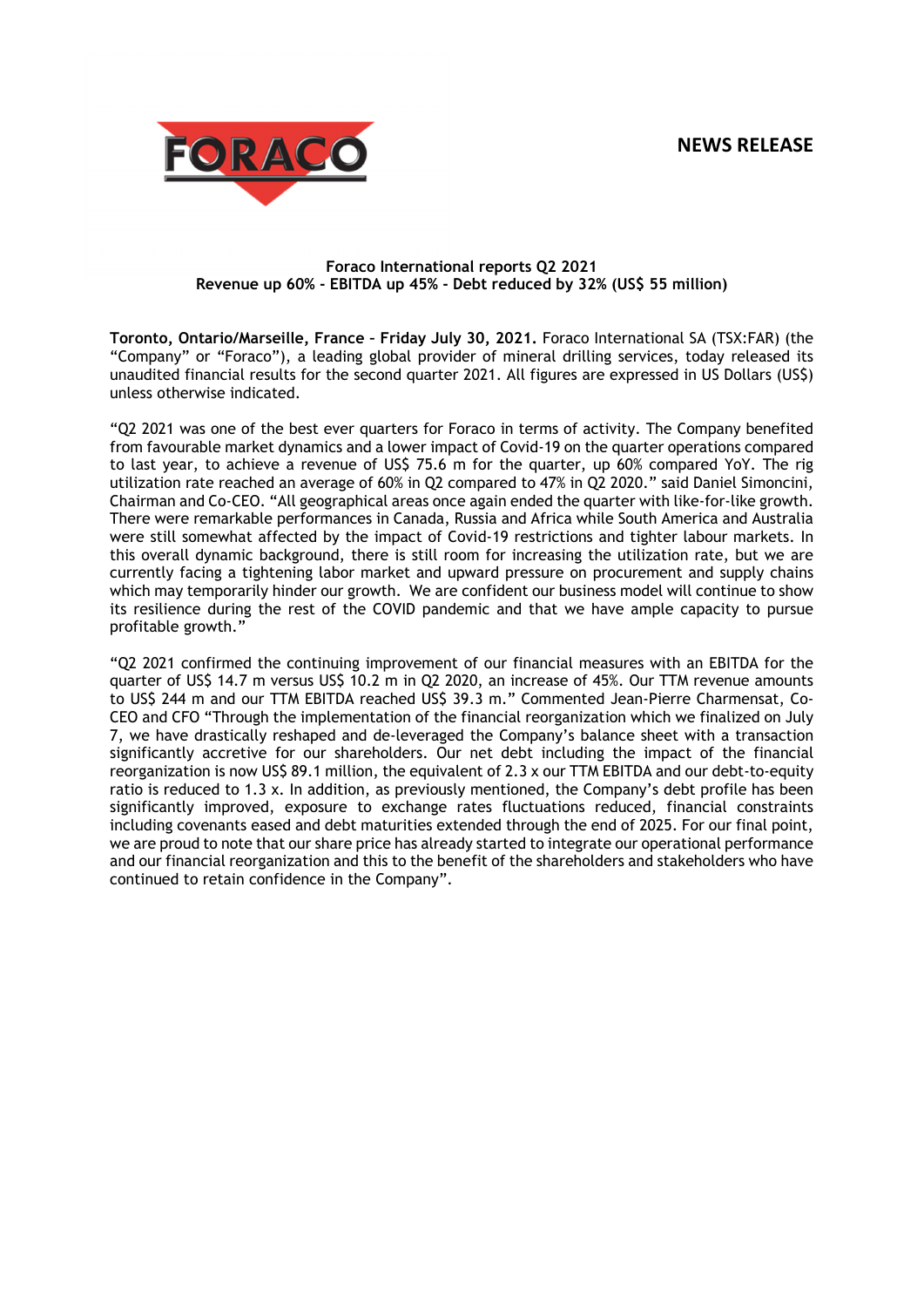

## **Foraco International reports Q2 2021 Revenue up 60% - EBITDA up 45% - Debt reduced by 32% (US\$ 55 million)**

**Toronto, Ontario/Marseille, France – Friday July 30, 2021.** Foraco International SA (TSX:FAR) (the "Company" or "Foraco"), a leading global provider of mineral drilling services, today released its unaudited financial results for the second quarter 2021. All figures are expressed in US Dollars (US\$) unless otherwise indicated.

"Q2 2021 was one of the best ever quarters for Foraco in terms of activity. The Company benefited from favourable market dynamics and a lower impact of Covid-19 on the quarter operations compared to last year, to achieve a revenue of US\$ 75.6 m for the quarter, up 60% compared YoY. The rig utilization rate reached an average of 60% in Q2 compared to 47% in Q2 2020." said Daniel Simoncini, Chairman and Co-CEO. "All geographical areas once again ended the quarter with like-for-like growth. There were remarkable performances in Canada, Russia and Africa while South America and Australia were still somewhat affected by the impact of Covid-19 restrictions and tighter labour markets. In this overall dynamic background, there is still room for increasing the utilization rate, but we are currently facing a tightening labor market and upward pressure on procurement and supply chains which may temporarily hinder our growth. We are confident our business model will continue to show its resilience during the rest of the COVID pandemic and that we have ample capacity to pursue profitable growth."

"Q2 2021 confirmed the continuing improvement of our financial measures with an EBITDA for the quarter of US\$ 14.7 m versus US\$ 10.2 m in Q2 2020, an increase of 45%. Our TTM revenue amounts to US\$ 244 m and our TTM EBITDA reached US\$ 39.3 m." Commented Jean-Pierre Charmensat, Co-CEO and CFO "Through the implementation of the financial reorganization which we finalized on July 7, we have drastically reshaped and de-leveraged the Company's balance sheet with a transaction significantly accretive for our shareholders. Our net debt including the impact of the financial reorganization is now US\$ 89.1 million, the equivalent of 2.3 x our TTM EBITDA and our debt-to-equity ratio is reduced to 1.3 x. In addition, as previously mentioned, the Company's debt profile has been significantly improved, exposure to exchange rates fluctuations reduced, financial constraints including covenants eased and debt maturities extended through the end of 2025. For our final point, we are proud to note that our share price has already started to integrate our operational performance and our financial reorganization and this to the benefit of the shareholders and stakeholders who have continued to retain confidence in the Company".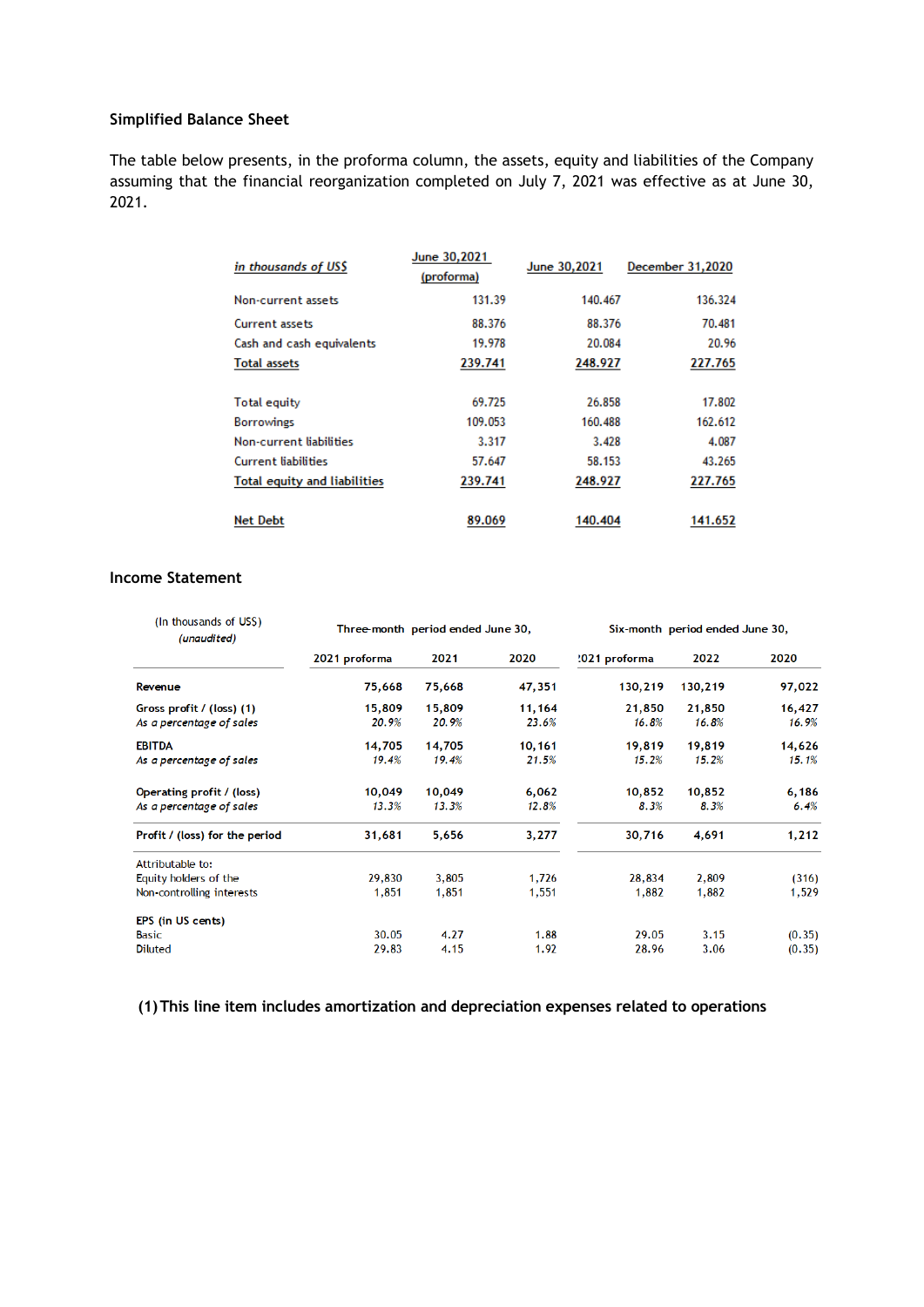## **Simplified Balance Sheet**

The table below presents, in the proforma column, the assets, equity and liabilities of the Company assuming that the financial reorganization completed on July 7, 2021 was effective as at June 30, 2021.

| in thousands of USS                 | June 30,2021<br>(proforma) | June 30,2021 | December 31,2020 |
|-------------------------------------|----------------------------|--------------|------------------|
| Non-current assets                  | 131.39                     | 140.467      | 136.324          |
| Current assets                      | 88.376                     | 88.376       | 70.481           |
| Cash and cash equivalents           | 19.978                     | 20.084       | 20.96            |
| <b>Total assets</b>                 | 239.741                    | 248.927      | 227.765          |
|                                     |                            |              |                  |
| Total equity                        | 69.725                     | 26.858       | 17.802           |
| <b>Borrowings</b>                   | 109.053                    | 160.488      | 162.612          |
| Non-current liabilities             | 3.317                      | 3.428        | 4.087            |
| <b>Current liabilities</b>          | 57.647                     | 58.153       | 43.265           |
| <b>Total equity and liabilities</b> | 239.741                    | 248.927      | 227.765          |
| <b>Net Debt</b>                     | 89.069                     | 140.404      | 141.652          |

# **Income Statement**

| (In thousands of US\$)<br>(unaudited) |               | Three-month period ended June 30, |        |               | Six-month period ended June 30, |        |  |  |
|---------------------------------------|---------------|-----------------------------------|--------|---------------|---------------------------------|--------|--|--|
|                                       | 2021 proforma | 2021                              | 2020   | '021 proforma | 2022                            | 2020   |  |  |
| Revenue                               | 75,668        | 75,668                            | 47,351 | 130,219       | 130,219                         | 97,022 |  |  |
| Gross profit / (loss) (1)             | 15,809        | 15,809                            | 11,164 | 21,850        | 21,850                          | 16,427 |  |  |
| As a percentage of sales              | 20.9%         | 20.9%                             | 23.6%  | 16.8%         | 16.8%                           | 16.9%  |  |  |
| <b>EBITDA</b>                         | 14,705        | 14,705                            | 10,161 | 19,819        | 19,819                          | 14,626 |  |  |
| As a percentage of sales              | 19.4%         | 19.4%                             | 21.5%  | 15.2%         | 15.2%                           | 15.1%  |  |  |
| Operating profit / (loss)             | 10,049        | 10,049                            | 6,062  | 10,852        | 10,852                          | 6,186  |  |  |
| As a percentage of sales              | 13.3%         | 13.3%                             | 12.8%  | 8.3%          | 8.3%                            | 6.4%   |  |  |
| Profit / (loss) for the period        | 31,681        | 5,656                             | 3,277  | 30,716        | 4,691                           | 1,212  |  |  |
| Attributable to:                      |               |                                   |        |               |                                 |        |  |  |
| Equity holders of the                 | 29,830        | 3,805                             | 1,726  | 28,834        | 2,809                           | (316)  |  |  |
| Non-controlling interests             | 1,851         | 1,851                             | 1,551  | 1,882         | 1,882                           | 1,529  |  |  |
| EPS (in US cents)                     |               |                                   |        |               |                                 |        |  |  |
| Basic                                 | 30.05         | 4.27                              | 1.88   | 29.05         | 3.15                            | (0.35) |  |  |
| <b>Diluted</b>                        | 29.83         | 4.15                              | 1.92   | 28.96         | 3.06                            | (0.35) |  |  |

**(1)This line item includes amortization and depreciation expenses related to operations**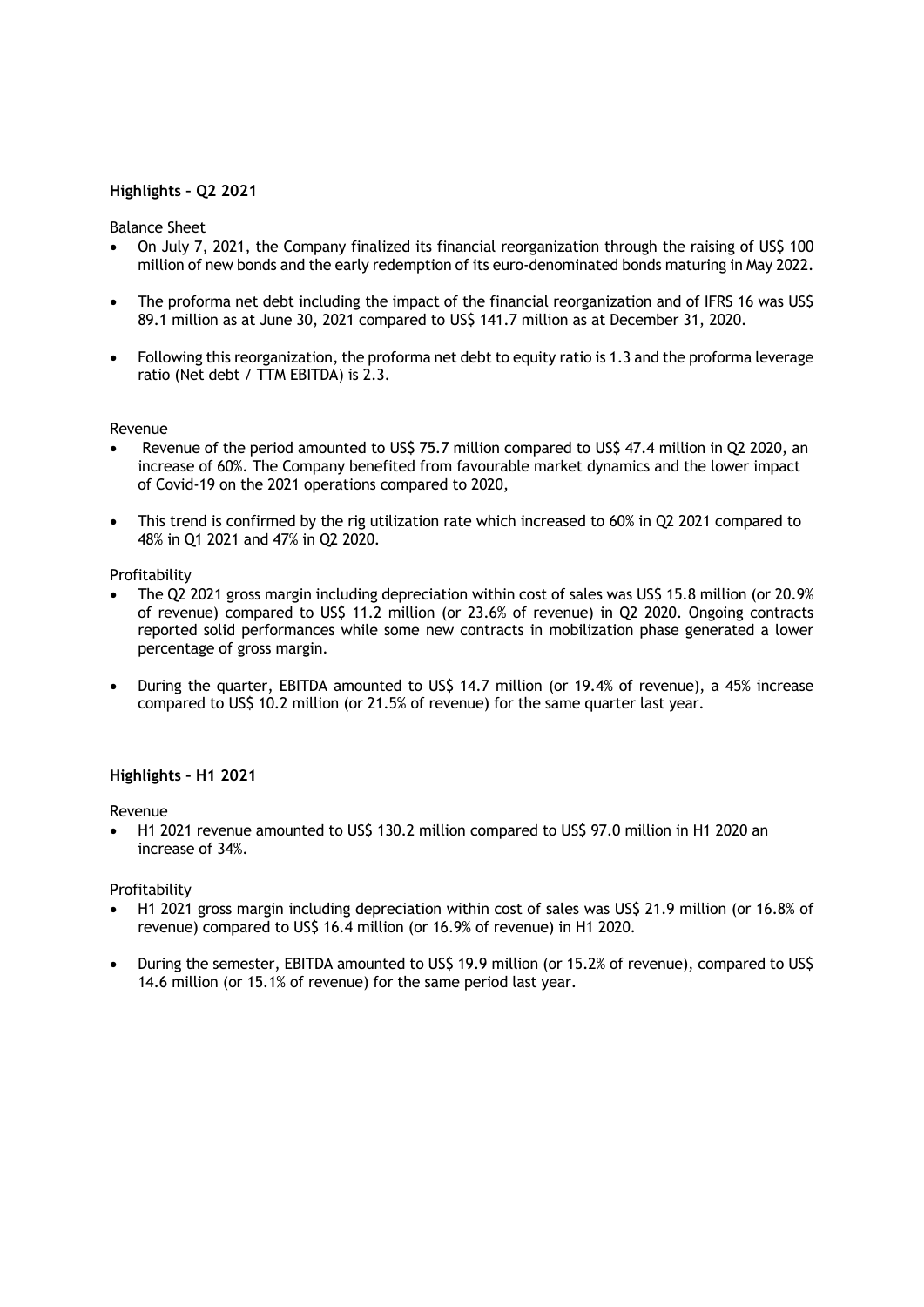# **Highlights – Q2 2021**

## Balance Sheet

- On July 7, 2021, the Company finalized its financial reorganization through the raising of US\$ 100 million of new bonds and the early redemption of its euro-denominated bonds maturing in May 2022.
- The proforma net debt including the impact of the financial reorganization and of IFRS 16 was US\$ 89.1 million as at June 30, 2021 compared to US\$ 141.7 million as at December 31, 2020.
- Following this reorganization, the proforma net debt to equity ratio is 1.3 and the proforma leverage ratio (Net debt / TTM EBITDA) is 2.3.

## Revenue

- Revenue of the period amounted to US\$ 75.7 million compared to US\$ 47.4 million in Q2 2020, an increase of 60%. The Company benefited from favourable market dynamics and the lower impact of Covid-19 on the 2021 operations compared to 2020,
- This trend is confirmed by the rig utilization rate which increased to 60% in Q2 2021 compared to 48% in Q1 2021 and 47% in Q2 2020.

## Profitability

- The Q2 2021 gross margin including depreciation within cost of sales was US\$ 15.8 million (or 20.9% of revenue) compared to US\$ 11.2 million (or 23.6% of revenue) in Q2 2020. Ongoing contracts reported solid performances while some new contracts in mobilization phase generated a lower percentage of gross margin.
- During the quarter, EBITDA amounted to US\$ 14.7 million (or 19.4% of revenue), a 45% increase compared to US\$ 10.2 million (or 21.5% of revenue) for the same quarter last year.

## **Highlights – H1 2021**

## Revenue

 H1 2021 revenue amounted to US\$ 130.2 million compared to US\$ 97.0 million in H1 2020 an increase of 34%.

## Profitability

- H1 2021 gross margin including depreciation within cost of sales was US\$ 21.9 million (or 16.8% of revenue) compared to US\$ 16.4 million (or 16.9% of revenue) in H1 2020.
- During the semester, EBITDA amounted to US\$ 19.9 million (or 15.2% of revenue), compared to US\$ 14.6 million (or 15.1% of revenue) for the same period last year.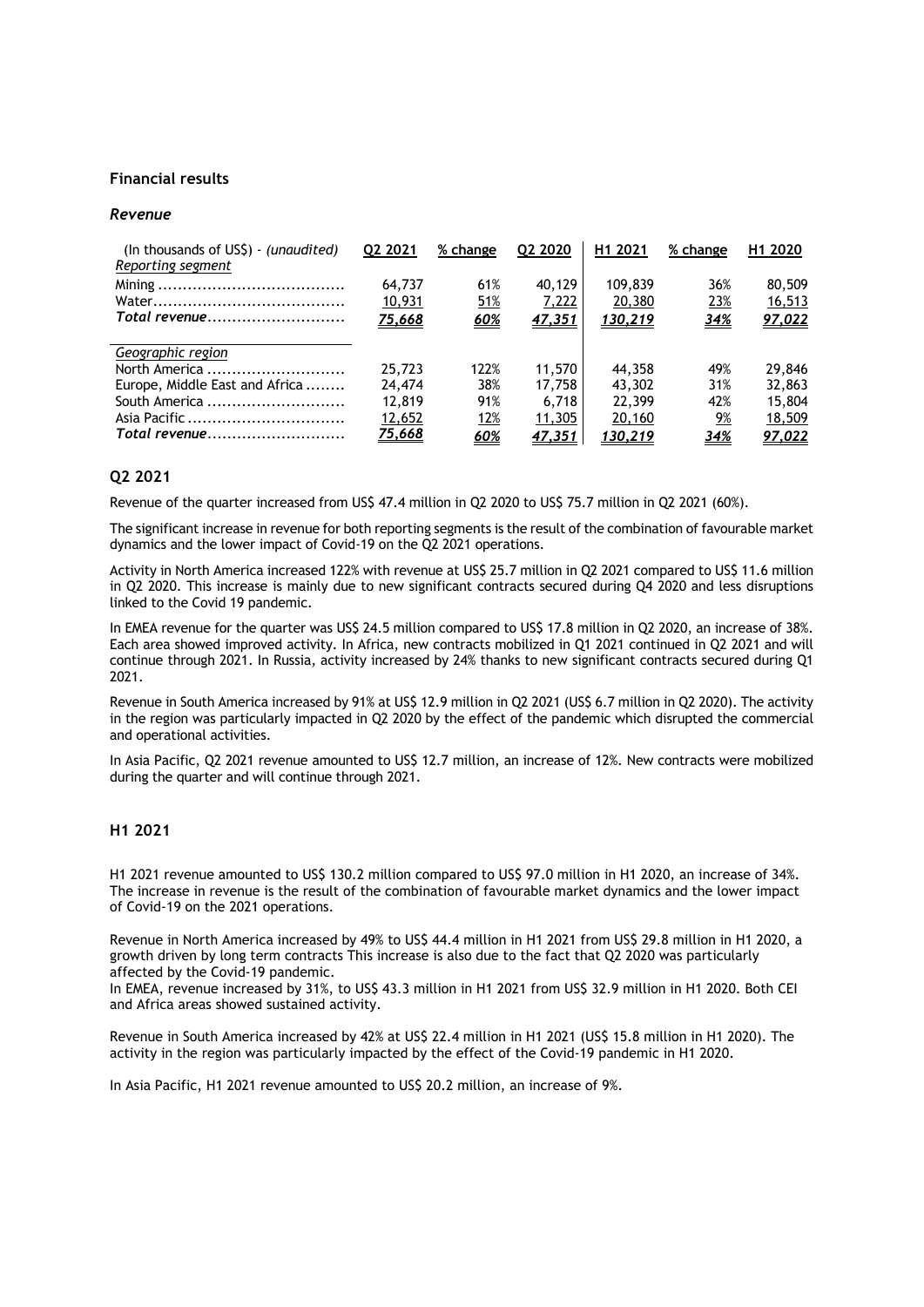#### **Financial results**

#### *Revenue*

| (In thousands of USS) - <i>(unaudited)</i><br>Reporting segment | 02 2021 | % change   | Q2 2020       | H <sub>1</sub> 2021 | % change   | H1 2020 |
|-----------------------------------------------------------------|---------|------------|---------------|---------------------|------------|---------|
|                                                                 | 64,737  | 61%        | 40,129        | 109,839             | 36%        | 80,509  |
|                                                                 | 10,931  | <u>51%</u> | 7,222         | 20,380              | 23%        | 16,513  |
| Total revenue                                                   | 75,668  | 60%        | 47,351        | 130,219             | <u>34%</u> | 97,022  |
| Geographic region                                               |         |            |               |                     |            |         |
| North America                                                   | 25,723  | 122%       | 11,570        | 44,358              | 49%        | 29,846  |
| Europe, Middle East and Africa                                  | 24,474  | 38%        | 17.758        | 43,302              | 31%        | 32,863  |
| South America                                                   | 12,819  | 91%        | 6.718         | 22,399              | 42%        | 15,804  |
|                                                                 | 12,652  | <u>12%</u> | <u>11,305</u> | 20,160              | 9%         | 18,509  |
| Total revenue                                                   | 75,668  | 60%        | 47,351        | <u>130,219</u>      | 34%        | 97,022  |

## **Q2 2021**

Revenue of the quarter increased from US\$ 47.4 million in Q2 2020 to US\$ 75.7 million in Q2 2021 (60%).

The significant increase in revenue for both reporting segments is the result of the combination of favourable market dynamics and the lower impact of Covid-19 on the Q2 2021 operations.

Activity in North America increased 122% with revenue at US\$ 25.7 million in Q2 2021 compared to US\$ 11.6 million in Q2 2020. This increase is mainly due to new significant contracts secured during Q4 2020 and less disruptions linked to the Covid 19 pandemic.

In EMEA revenue for the quarter was US\$ 24.5 million compared to US\$ 17.8 million in Q2 2020, an increase of 38%. Each area showed improved activity. In Africa, new contracts mobilized in Q1 2021 continued in Q2 2021 and will continue through 2021. In Russia, activity increased by 24% thanks to new significant contracts secured during Q1 2021.

Revenue in South America increased by 91% at US\$ 12.9 million in Q2 2021 (US\$ 6.7 million in Q2 2020). The activity in the region was particularly impacted in Q2 2020 by the effect of the pandemic which disrupted the commercial and operational activities.

In Asia Pacific, Q2 2021 revenue amounted to US\$ 12.7 million, an increase of 12%. New contracts were mobilized during the quarter and will continue through 2021.

## **H1 2021**

H1 2021 revenue amounted to US\$ 130.2 million compared to US\$ 97.0 million in H1 2020, an increase of 34%. The increase in revenue is the result of the combination of favourable market dynamics and the lower impact of Covid-19 on the 2021 operations.

Revenue in North America increased by 49% to US\$ 44.4 million in H1 2021 from US\$ 29.8 million in H1 2020, a growth driven by long term contracts This increase is also due to the fact that Q2 2020 was particularly affected by the Covid-19 pandemic.

In EMEA, revenue increased by 31%, to US\$ 43.3 million in H1 2021 from US\$ 32.9 million in H1 2020. Both CEI and Africa areas showed sustained activity.

Revenue in South America increased by 42% at US\$ 22.4 million in H1 2021 (US\$ 15.8 million in H1 2020). The activity in the region was particularly impacted by the effect of the Covid-19 pandemic in H1 2020.

In Asia Pacific, H1 2021 revenue amounted to US\$ 20.2 million, an increase of 9%.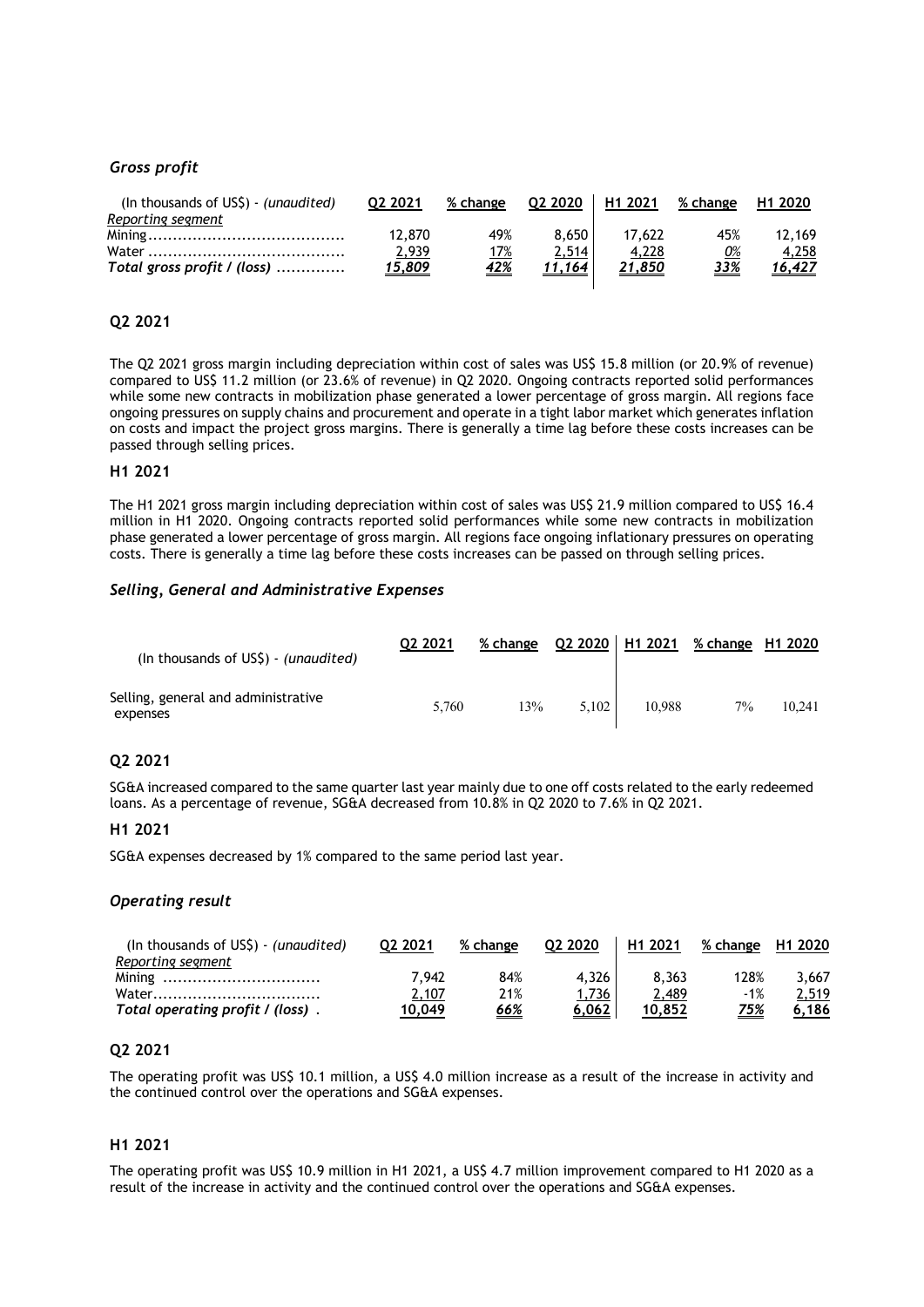# *Gross profit*

| (In thousands of US\$) - (unaudited) | 02 2021       | % change   | 02 2020 | H <sub>1</sub> 2021 | % change   | H <sub>1</sub> 2020 |
|--------------------------------------|---------------|------------|---------|---------------------|------------|---------------------|
| Reporting segment                    |               |            |         |                     |            |                     |
|                                      | 12,870        | 49%        | 8.650   | 17.622              | 45%        | 12,169              |
|                                      | 2,939         | <u>17%</u> | 2,514   | 4,228               | 0%         | 4,258               |
| Total gross profit / (loss)          | <u>15,809</u> | <u>42%</u> | 11.164  | <u>21,850</u>       | <u>33%</u> | <u>16,427</u>       |
|                                      |               |            |         |                     |            |                     |

## **Q2 2021**

The Q2 2021 gross margin including depreciation within cost of sales was US\$ 15.8 million (or 20.9% of revenue) compared to US\$ 11.2 million (or 23.6% of revenue) in Q2 2020. Ongoing contracts reported solid performances while some new contracts in mobilization phase generated a lower percentage of gross margin. All regions face ongoing pressures on supply chains and procurement and operate in a tight labor market which generates inflation on costs and impact the project gross margins. There is generally a time lag before these costs increases can be passed through selling prices.

#### **H1 2021**

The H1 2021 gross margin including depreciation within cost of sales was US\$ 21.9 million compared to US\$ 16.4 million in H1 2020. Ongoing contracts reported solid performances while some new contracts in mobilization phase generated a lower percentage of gross margin. All regions face ongoing inflationary pressures on operating costs. There is generally a time lag before these costs increases can be passed on through selling prices.

#### *Selling, General and Administrative Expenses*

| (In thousands of US\$) - (unaudited)            | 02 2021 | % change Q2 2020   H1 2021 |       |        | % change H1 2020 |        |
|-------------------------------------------------|---------|----------------------------|-------|--------|------------------|--------|
| Selling, general and administrative<br>expenses | 5.760   | 13%                        | 5.102 | 10.988 | $7\%$            | 10.241 |

# **Q2 2021**

SG&A increased compared to the same quarter last year mainly due to one off costs related to the early redeemed loans. As a percentage of revenue, SG&A decreased from 10.8% in Q2 2020 to 7.6% in Q2 2021.

#### **H1 2021**

SG&A expenses decreased by 1% compared to the same period last year.

## *Operating result*

| (In thousands of $US\$ ) - (unaudited) | 02 2021 | % change   | 02 2020      | H <sub>1</sub> 2021 | % change | H <sub>1</sub> 2020 |
|----------------------------------------|---------|------------|--------------|---------------------|----------|---------------------|
| Reporting segment                      |         |            |              |                     |          |                     |
| Mining                                 | 7.942   | 84%        | 4.326        | 8.363               | 128%     | 3.667               |
| Water                                  | 2,107   | 21%        | <u>1,736</u> | 2,489               | -1%      | 2,519               |
| Total operating profit / (loss).       | 10.049  | <u>66%</u> | 6.062        | 10.852              | 75%      | 6.186               |

## **Q2 2021**

The operating profit was US\$ 10.1 million, a US\$ 4.0 million increase as a result of the increase in activity and the continued control over the operations and SG&A expenses.

#### **H1 2021**

The operating profit was US\$ 10.9 million in H1 2021, a US\$ 4.7 million improvement compared to H1 2020 as a result of the increase in activity and the continued control over the operations and SG&A expenses.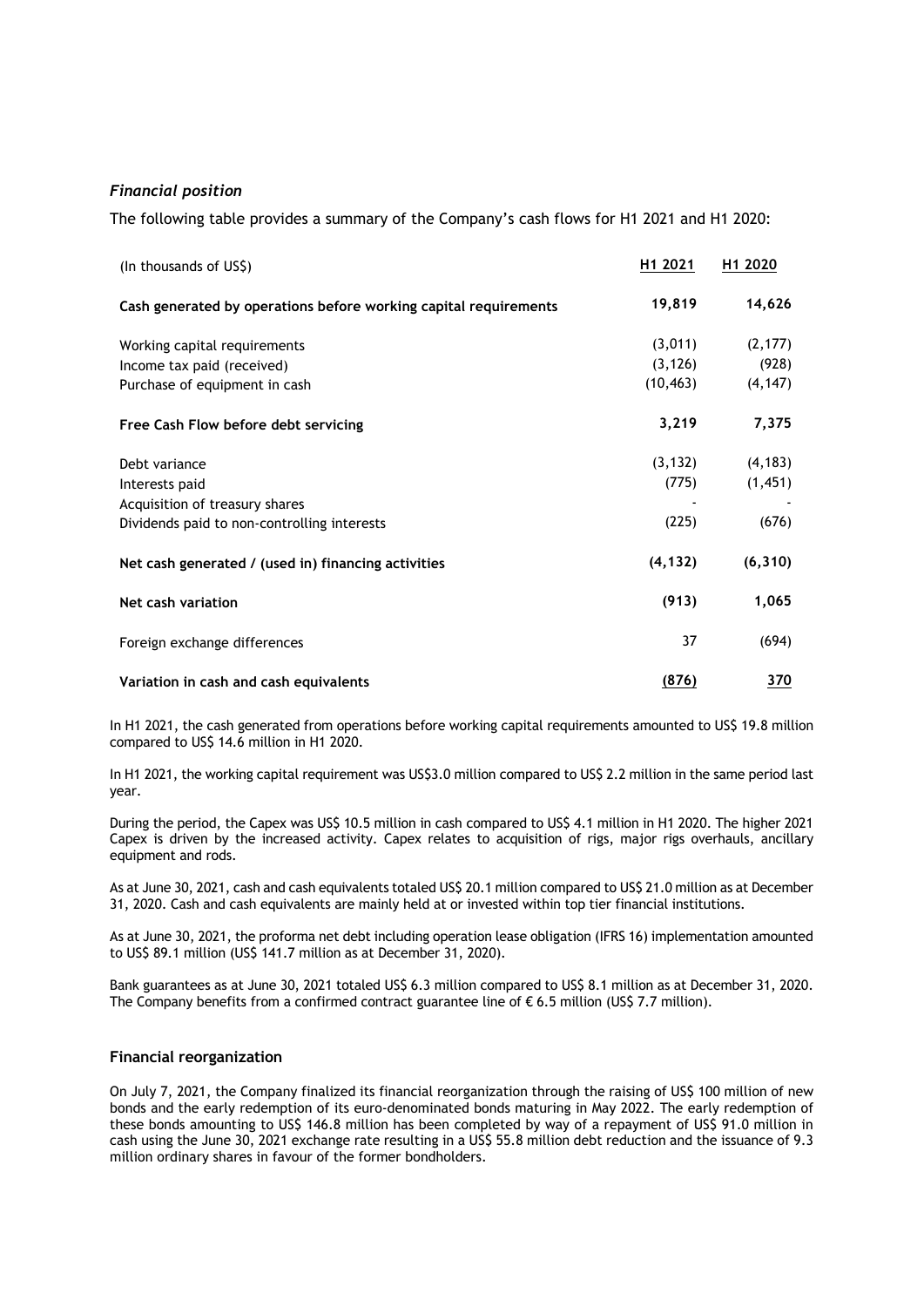# *Financial position*

The following table provides a summary of the Company's cash flows for H1 2021 and H1 2020:

| (In thousands of US\$)                                           | H1 2021   | H1 2020    |
|------------------------------------------------------------------|-----------|------------|
| Cash generated by operations before working capital requirements | 19,819    | 14,626     |
| Working capital requirements                                     | (3,011)   | (2, 177)   |
| Income tax paid (received)                                       | (3, 126)  | (928)      |
| Purchase of equipment in cash                                    | (10, 463) | (4, 147)   |
| Free Cash Flow before debt servicing                             | 3,219     | 7,375      |
| Debt variance                                                    | (3, 132)  | (4, 183)   |
| Interests paid                                                   | (775)     | (1,451)    |
| Acquisition of treasury shares                                   |           |            |
| Dividends paid to non-controlling interests                      | (225)     | (676)      |
| Net cash generated / (used in) financing activities              | (4, 132)  | (6, 310)   |
| Net cash variation                                               | (913)     | 1,065      |
| Foreign exchange differences                                     | 37        | (694)      |
| Variation in cash and cash equivalents                           | (876)     | <u>370</u> |

In H1 2021, the cash generated from operations before working capital requirements amounted to US\$ 19.8 million compared to US\$ 14.6 million in H1 2020.

In H1 2021, the working capital requirement was US\$3.0 million compared to US\$ 2.2 million in the same period last year.

During the period, the Capex was US\$ 10.5 million in cash compared to US\$ 4.1 million in H1 2020. The higher 2021 Capex is driven by the increased activity. Capex relates to acquisition of rigs, major rigs overhauls, ancillary equipment and rods.

As at June 30, 2021, cash and cash equivalents totaled US\$ 20.1 million compared to US\$ 21.0 million as at December 31, 2020. Cash and cash equivalents are mainly held at or invested within top tier financial institutions.

As at June 30, 2021, the proforma net debt including operation lease obligation (IFRS 16) implementation amounted to US\$ 89.1 million (US\$ 141.7 million as at December 31, 2020).

Bank guarantees as at June 30, 2021 totaled US\$ 6.3 million compared to US\$ 8.1 million as at December 31, 2020. The Company benefits from a confirmed contract guarantee line of  $\epsilon$  6.5 million (US\$ 7.7 million).

#### **Financial reorganization**

On July 7, 2021, the Company finalized its financial reorganization through the raising of US\$ 100 million of new bonds and the early redemption of its euro-denominated bonds maturing in May 2022. The early redemption of these bonds amounting to US\$ 146.8 million has been completed by way of a repayment of US\$ 91.0 million in cash using the June 30, 2021 exchange rate resulting in a US\$ 55.8 million debt reduction and the issuance of 9.3 million ordinary shares in favour of the former bondholders.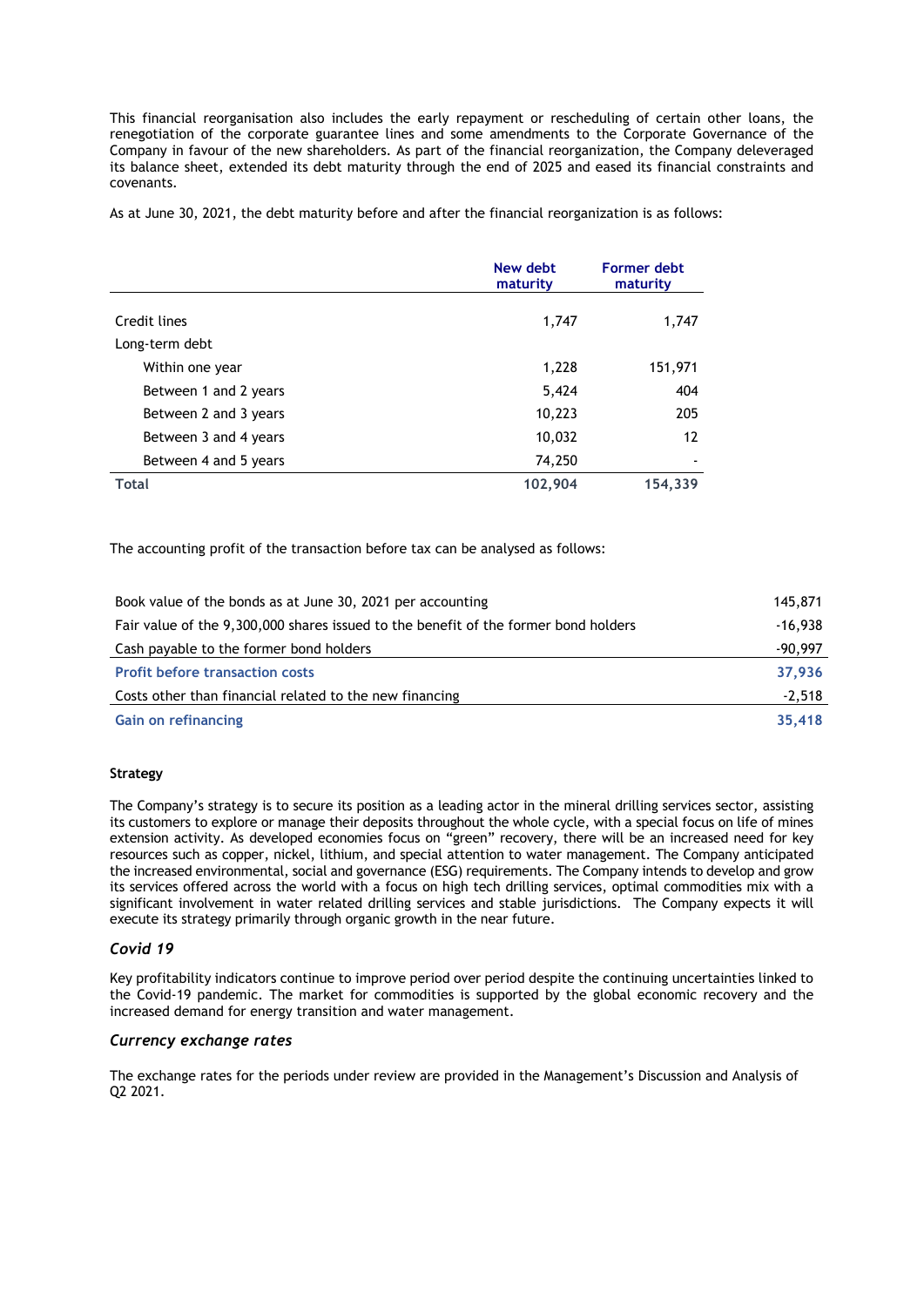This financial reorganisation also includes the early repayment or rescheduling of certain other loans, the renegotiation of the corporate guarantee lines and some amendments to the Corporate Governance of the Company in favour of the new shareholders. As part of the financial reorganization, the Company deleveraged its balance sheet, extended its debt maturity through the end of 2025 and eased its financial constraints and covenants.

As at June 30, 2021, the debt maturity before and after the financial reorganization is as follows:

|                       | New debt<br>maturity | <b>Former debt</b><br>maturity |
|-----------------------|----------------------|--------------------------------|
| Credit lines          | 1,747                | 1,747                          |
| Long-term debt        |                      |                                |
| Within one year       | 1,228                | 151,971                        |
| Between 1 and 2 years | 5,424                | 404                            |
| Between 2 and 3 years | 10,223               | 205                            |
| Between 3 and 4 years | 10,032               | 12                             |
| Between 4 and 5 years | 74,250               |                                |
| <b>Total</b>          | 102,904              | 154,339                        |

The accounting profit of the transaction before tax can be analysed as follows:

| Book value of the bonds as at June 30, 2021 per accounting                          | 145,871   |
|-------------------------------------------------------------------------------------|-----------|
| Fair value of the 9,300,000 shares issued to the benefit of the former bond holders | $-16.938$ |
| Cash payable to the former bond holders                                             | $-90,997$ |
| <b>Profit before transaction costs</b>                                              | 37,936    |
| Costs other than financial related to the new financing                             | $-2.518$  |
| <b>Gain on refinancing</b>                                                          | 35,418    |

## **Strategy**

The Company's strategy is to secure its position as a leading actor in the mineral drilling services sector, assisting its customers to explore or manage their deposits throughout the whole cycle, with a special focus on life of mines extension activity. As developed economies focus on "green" recovery, there will be an increased need for key resources such as copper, nickel, lithium, and special attention to water management. The Company anticipated the increased environmental, social and governance (ESG) requirements. The Company intends to develop and grow its services offered across the world with a focus on high tech drilling services, optimal commodities mix with a significant involvement in water related drilling services and stable jurisdictions. The Company expects it will execute its strategy primarily through organic growth in the near future.

# *Covid 19*

Key profitability indicators continue to improve period over period despite the continuing uncertainties linked to the Covid-19 pandemic. The market for commodities is supported by the global economic recovery and the increased demand for energy transition and water management.

## *Currency exchange rates*

The exchange rates for the periods under review are provided in the Management's Discussion and Analysis of Q2 2021.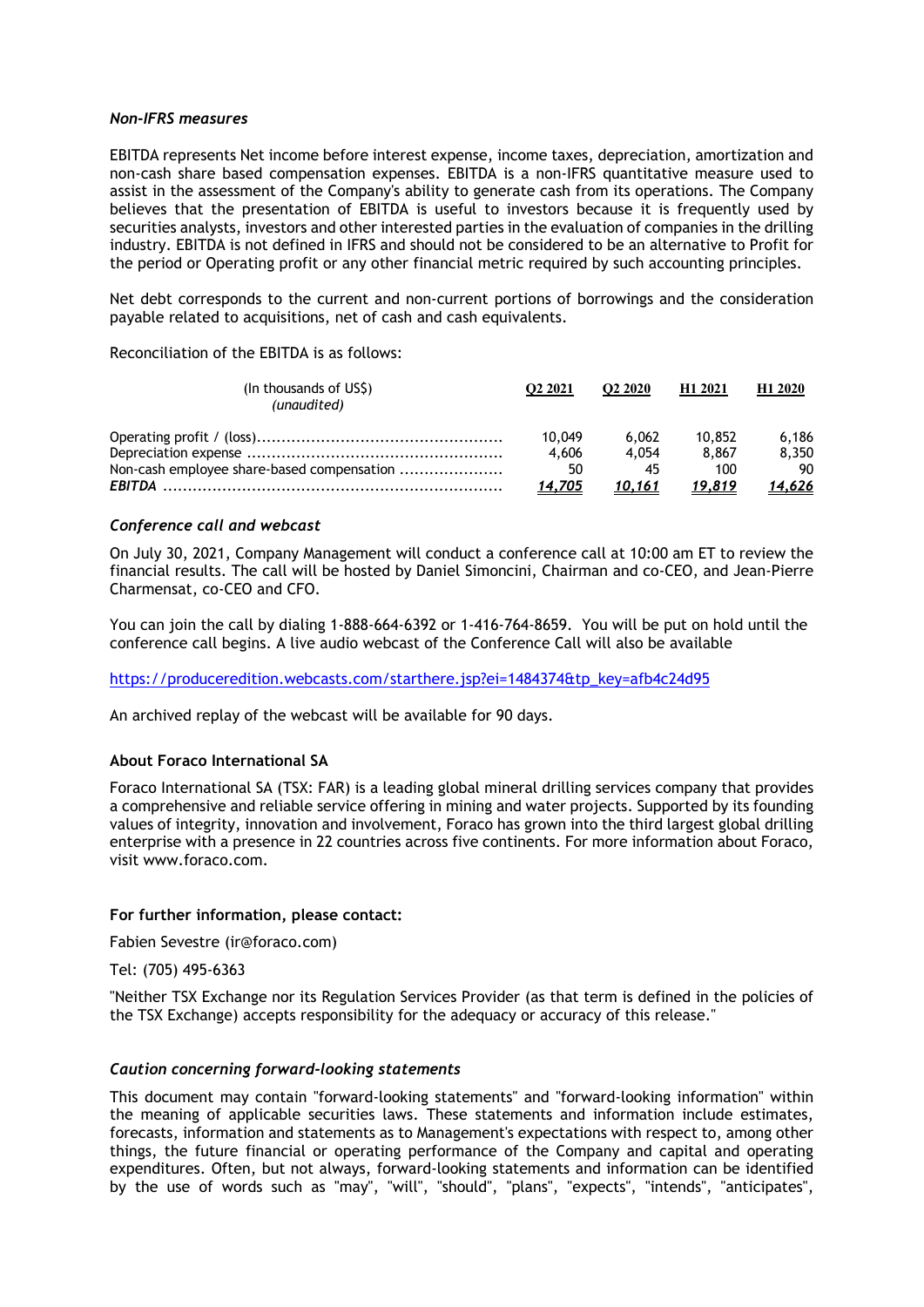#### *Non-IFRS measures*

EBITDA represents Net income before interest expense, income taxes, depreciation, amortization and non-cash share based compensation expenses. EBITDA is a non-IFRS quantitative measure used to assist in the assessment of the Company's ability to generate cash from its operations. The Company believes that the presentation of EBITDA is useful to investors because it is frequently used by securities analysts, investors and other interested parties in the evaluation of companies in the drilling industry. EBITDA is not defined in IFRS and should not be considered to be an alternative to Profit for the period or Operating profit or any other financial metric required by such accounting principles.

Net debt corresponds to the current and non-current portions of borrowings and the consideration payable related to acquisitions, net of cash and cash equivalents.

Reconciliation of the EBITDA is as follows:

| (In thousands of US\$)<br>(unaudited)      | O <sub>2</sub> 2021 | O <sub>2</sub> 2020 | H <sub>1</sub> 2021 | H <sub>1</sub> 2020 |
|--------------------------------------------|---------------------|---------------------|---------------------|---------------------|
|                                            | 10,049              | 6.062               | 10.852              | 6.186               |
|                                            | 4.606               | 4.054               | 8,867               | 8.350               |
| Non-cash employee share-based compensation | 50                  | 45                  | 100                 | 90                  |
|                                            | 14,705              | 10,161              | 19.819              | 14,626              |

## *Conference call and webcast*

On July 30, 2021, Company Management will conduct a conference call at 10:00 am ET to review the financial results. The call will be hosted by Daniel Simoncini, Chairman and co-CEO, and Jean-Pierre Charmensat, co-CEO and CFO.

You can join the call by dialing 1-888-664-6392 or 1-416-764-8659. You will be put on hold until the conference call begins. A live audio webcast of the Conference Call will also be available

https://produceredition.webcasts.com/starthere.jsp?ei=1484374&tp\_key=afb4c24d95

An archived replay of the webcast will be available for 90 days.

## **About Foraco International SA**

Foraco International SA (TSX: FAR) is a leading global mineral drilling services company that provides a comprehensive and reliable service offering in mining and water projects. Supported by its founding values of integrity, innovation and involvement, Foraco has grown into the third largest global drilling enterprise with a presence in 22 countries across five continents. For more information about Foraco, visit www.foraco.com.

## **For further information, please contact:**

Fabien Sevestre (ir@foraco.com)

Tel: (705) 495-6363

"Neither TSX Exchange nor its Regulation Services Provider (as that term is defined in the policies of the TSX Exchange) accepts responsibility for the adequacy or accuracy of this release."

## *Caution concerning forward-looking statements*

This document may contain "forward-looking statements" and "forward-looking information" within the meaning of applicable securities laws. These statements and information include estimates, forecasts, information and statements as to Management's expectations with respect to, among other things, the future financial or operating performance of the Company and capital and operating expenditures. Often, but not always, forward-looking statements and information can be identified by the use of words such as "may", "will", "should", "plans", "expects", "intends", "anticipates",